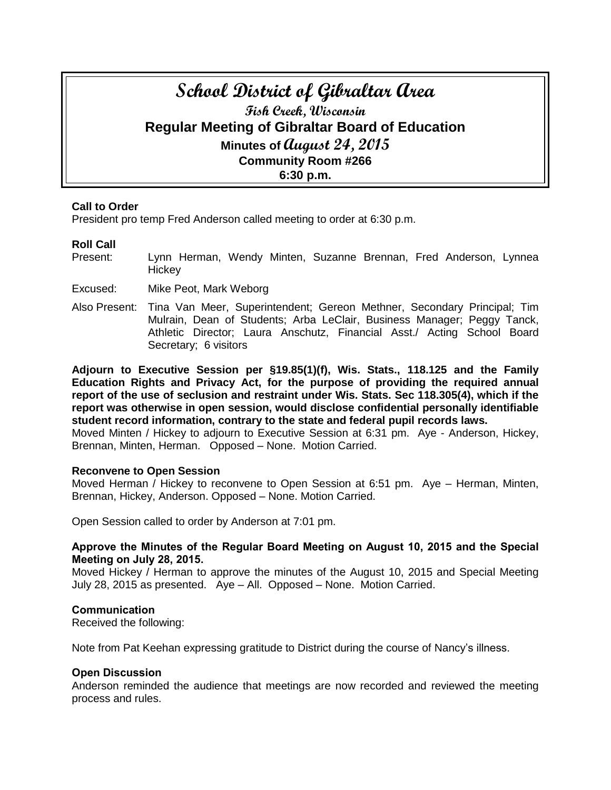# **School District of Gibraltar Area Fish Creek, Wisconsin Regular Meeting of Gibraltar Board of Education Minutes of August 24, 2015 Community Room #266**

**6:30 p.m.**

#### **Call to Order**

President pro temp Fred Anderson called meeting to order at 6:30 p.m.

#### **Roll Call**

- Present: Lynn Herman, Wendy Minten, Suzanne Brennan, Fred Anderson, Lynnea **Hickey**
- Excused: Mike Peot, Mark Weborg
- Also Present: Tina Van Meer, Superintendent; Gereon Methner, Secondary Principal; Tim Mulrain, Dean of Students; Arba LeClair, Business Manager; Peggy Tanck, Athletic Director; Laura Anschutz, Financial Asst./ Acting School Board Secretary; 6 visitors

**Adjourn to Executive Session per §19.85(1)(f), Wis. Stats., 118.125 and the Family Education Rights and Privacy Act, for the purpose of providing the required annual report of the use of seclusion and restraint under Wis. Stats. Sec 118.305(4), which if the report was otherwise in open session, would disclose confidential personally identifiable student record information, contrary to the state and federal pupil records laws.** 

Moved Minten / Hickey to adjourn to Executive Session at 6:31 pm. Aye - Anderson, Hickey, Brennan, Minten, Herman. Opposed – None. Motion Carried.

#### **Reconvene to Open Session**

Moved Herman / Hickey to reconvene to Open Session at 6:51 pm. Aye – Herman, Minten, Brennan, Hickey, Anderson. Opposed – None. Motion Carried.

Open Session called to order by Anderson at 7:01 pm.

#### **Approve the Minutes of the Regular Board Meeting on August 10, 2015 and the Special Meeting on July 28, 2015.**

Moved Hickey / Herman to approve the minutes of the August 10, 2015 and Special Meeting July 28, 2015 as presented. Aye – All. Opposed – None. Motion Carried.

#### **Communication**

Received the following:

Note from Pat Keehan expressing gratitude to District during the course of Nancy's illness.

#### **Open Discussion**

Anderson reminded the audience that meetings are now recorded and reviewed the meeting process and rules.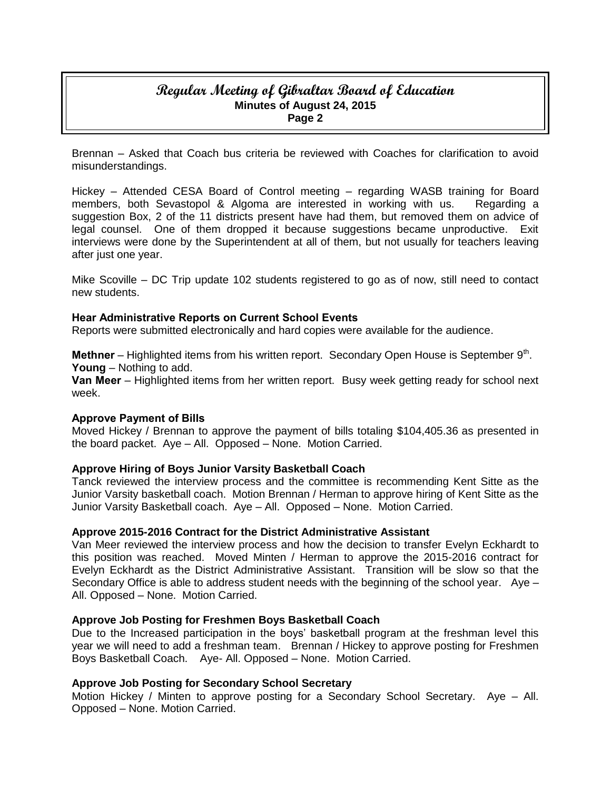# **Regular Meeting of Gibraltar Board of Education Minutes of August 24, 2015 Page 2**

Brennan – Asked that Coach bus criteria be reviewed with Coaches for clarification to avoid misunderstandings.

Hickey – Attended CESA Board of Control meeting – regarding WASB training for Board members, both Sevastopol & Algoma are interested in working with us. Regarding a suggestion Box, 2 of the 11 districts present have had them, but removed them on advice of legal counsel. One of them dropped it because suggestions became unproductive. Exit interviews were done by the Superintendent at all of them, but not usually for teachers leaving after just one year.

Mike Scoville – DC Trip update 102 students registered to go as of now, still need to contact new students.

#### **Hear Administrative Reports on Current School Events**

Reports were submitted electronically and hard copies were available for the audience.

Methner – Highlighted items from his written report. Secondary Open House is September 9<sup>th</sup>. **Young** – Nothing to add.

**Van Meer** – Highlighted items from her written report. Busy week getting ready for school next week.

#### **Approve Payment of Bills**

Moved Hickey / Brennan to approve the payment of bills totaling \$104,405.36 as presented in the board packet. Aye – All. Opposed – None. Motion Carried.

## **Approve Hiring of Boys Junior Varsity Basketball Coach**

Tanck reviewed the interview process and the committee is recommending Kent Sitte as the Junior Varsity basketball coach. Motion Brennan / Herman to approve hiring of Kent Sitte as the Junior Varsity Basketball coach. Aye – All. Opposed – None. Motion Carried.

#### **Approve 2015-2016 Contract for the District Administrative Assistant**

Van Meer reviewed the interview process and how the decision to transfer Evelyn Eckhardt to this position was reached. Moved Minten / Herman to approve the 2015-2016 contract for Evelyn Eckhardt as the District Administrative Assistant. Transition will be slow so that the Secondary Office is able to address student needs with the beginning of the school year. Aye – All. Opposed – None. Motion Carried.

#### **Approve Job Posting for Freshmen Boys Basketball Coach**

Due to the Increased participation in the boys' basketball program at the freshman level this year we will need to add a freshman team. Brennan / Hickey to approve posting for Freshmen Boys Basketball Coach. Aye- All. Opposed – None. Motion Carried.

## **Approve Job Posting for Secondary School Secretary**

Motion Hickey / Minten to approve posting for a Secondary School Secretary. Aye – All. Opposed – None. Motion Carried.